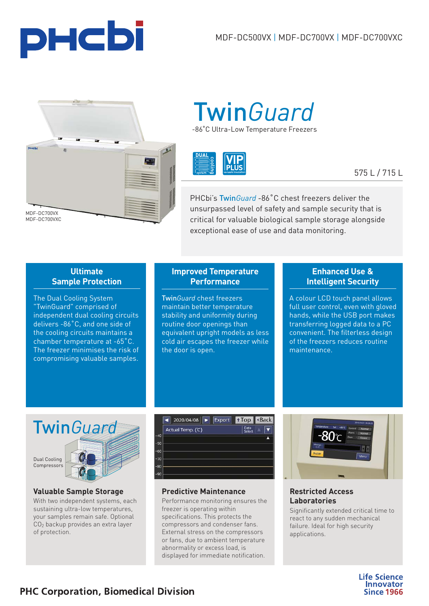



# -86˚C Ultra-Low Temperature Freezers Twin*[Guard](https://www.phchd.com/global/biomedical/preservation/Product-Technology/Dual-Cooling-System)*



# 575 L / 715 L

PHCbi's Twin*Guard* -86˚C chest freezers deliver the unsurpassed level of safety and sample security that is critical for valuable biological sample storage alongside exceptional ease of use and data monitoring.

### **Ultimate Sample Protection**

The Dual Cooling System "TwinGuard" comprised of independent dual cooling circuits delivers -86˚C, and one side of the cooling circuits maintains a chamber temperature at -65˚C. The freezer minimises the risk of compromising valuable samples.

## **Improved Temperature Performance**

Twin*Guard* chest freezers maintain better temperature stability and uniformity during routine door openings than equivalent upright models as less cold air escapes the freezer while the door is open.

## **Enhanced Use & Intelligent Security**

A colour LCD touch panel allows full user control, even with gloved hands, while the USB port makes transferring logged data to a PC convenient. The filterless design of the freezers reduces routine maintenance.



### **Valuable Sample Storage**

With two independent systems, each sustaining ultra-low temperatures, your samples remain safe. Optional CO<sub>2</sub> backup provides an extra layer of protection.



### **Predictive Maintenance**

Performance monitoring ensures the freezer is operating within specifications. This protects the compressors and condenser fans. External stress on the compressors or fans, due to ambient temperature abnormality or excess load, is displayed for immediate notification.



### **Restricted Access Laboratories**

Significantly extended critical time to react to any sudden mechanical failure. Ideal for high security applications.

> **Life Science Innovator Since 1966**

# **PHC Corporation, Biomedical Division**